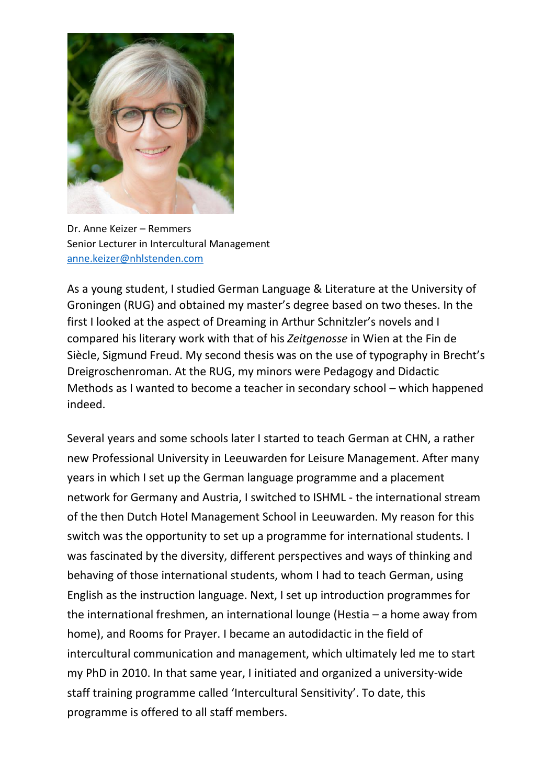

Dr. Anne Keizer – Remmers Senior Lecturer in Intercultural Management [anne.keizer@nhlstenden.com](mailto:anne.keizer@nhlstenden.com)

As a young student, I studied German Language & Literature at the University of Groningen (RUG) and obtained my master's degree based on two theses. In the first I looked at the aspect of Dreaming in Arthur Schnitzler's novels and I compared his literary work with that of his *Zeitgenosse* in Wien at the Fin de Siècle, Sigmund Freud. My second thesis was on the use of typography in Brecht's Dreigroschenroman. At the RUG, my minors were Pedagogy and Didactic Methods as I wanted to become a teacher in secondary school – which happened indeed.

Several years and some schools later I started to teach German at CHN, a rather new Professional University in Leeuwarden for Leisure Management. After many years in which I set up the German language programme and a placement network for Germany and Austria, I switched to ISHML - the international stream of the then Dutch Hotel Management School in Leeuwarden. My reason for this switch was the opportunity to set up a programme for international students. I was fascinated by the diversity, different perspectives and ways of thinking and behaving of those international students, whom I had to teach German, using English as the instruction language. Next, I set up introduction programmes for the international freshmen, an international lounge (Hestia – a home away from home), and Rooms for Prayer. I became an autodidactic in the field of intercultural communication and management, which ultimately led me to start my PhD in 2010. In that same year, I initiated and organized a university-wide staff training programme called 'Intercultural Sensitivity'. To date, this programme is offered to all staff members.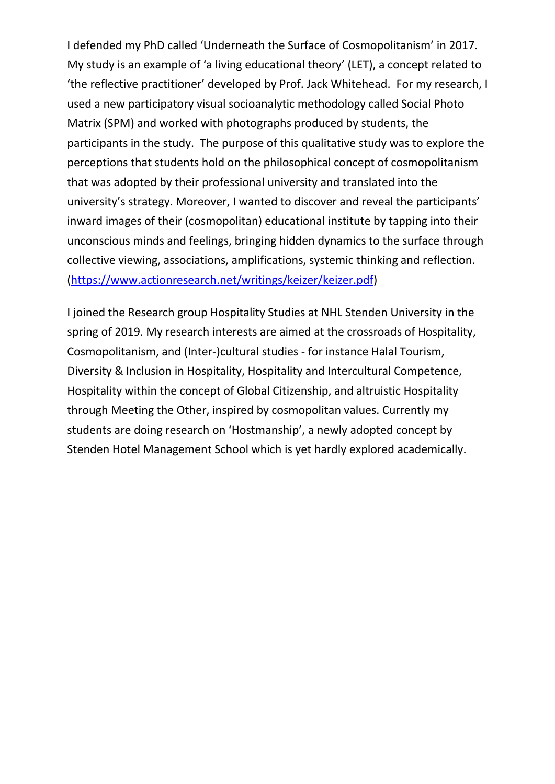I defended my PhD called 'Underneath the Surface of Cosmopolitanism' in 2017. My study is an example of 'a living educational theory' (LET), a concept related to 'the reflective practitioner' developed by Prof. Jack Whitehead. For my research, I used a new participatory visual socioanalytic methodology called Social Photo Matrix (SPM) and worked with photographs produced by students, the participants in the study. The purpose of this qualitative study was to explore the perceptions that students hold on the philosophical concept of cosmopolitanism that was adopted by their professional university and translated into the university's strategy. Moreover, I wanted to discover and reveal the participants' inward images of their (cosmopolitan) educational institute by tapping into their unconscious minds and feelings, bringing hidden dynamics to the surface through collective viewing, associations, amplifications, systemic thinking and reflection. [\(https://www.actionresearch.net/writings/keizer/keizer.pdf\)](https://www.actionresearch.net/writings/keizer/keizer.pdf)

I joined the Research group Hospitality Studies at NHL Stenden University in the spring of 2019. My research interests are aimed at the crossroads of Hospitality, Cosmopolitanism, and (Inter-)cultural studies - for instance Halal Tourism, Diversity & Inclusion in Hospitality, Hospitality and Intercultural Competence, Hospitality within the concept of Global Citizenship, and altruistic Hospitality through Meeting the Other, inspired by cosmopolitan values. Currently my students are doing research on 'Hostmanship', a newly adopted concept by Stenden Hotel Management School which is yet hardly explored academically.